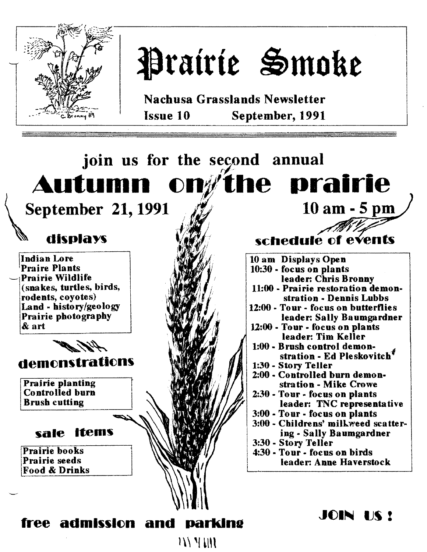

# Prairie Smoke

Nachusa Grasslands Newsletter Issue 10 September, 1991

# join us for the second annual Autumn on $\not\!\! I$ the prairie

September 21, 1991

# displays

Indian Lore Praire Plants Prairie Wildlife (snakes, turtles, birds, rodents, coyotes) Land - history/geology Prairie photography & art



Prairie planting Controlled burn Brush cutting

# sale items

Prairie books IPrairie seeds Food & Drinks

schedule of events 10 am Displays Open 10:30 - focus on plants leader: Chris Bronny 11:00 - Prairie restoration demonstration - Dennis Lubbs 12:00 - Tour - focus on butterflies leader: Sally Baumgardner 12:00 - Tour - focus on plants leader: Tim Keller 1:00 - Brush control demonstration - Ed Pleskovitch<sup>†</sup> 1:30 - Story Teller 2:00· Controlled burn demonstration - Mike Crowe 2:30· Tour - focus on plants leader: TNC representative 3:00 - Tour· focus on plants 3:00 - Childrens' millweed scattering. Sally Baumgardner <sup>I</sup> 3:30 - Story Teller 4:30· Tour - focus on birds leader: Anne Haverstock

JOIN US!

10 am - 5 pm

'1'Z q

# free admission and parking

 $\left|1\right\rangle$   $\left|1\right\rangle$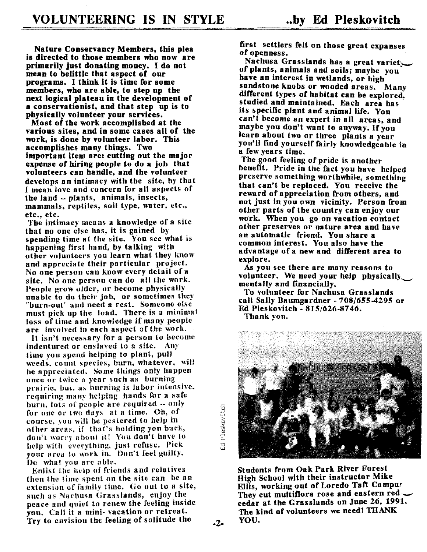Nature Conservancy Members, this plea is directed to those members who now are primarily just donating money. I do not mean to belittle that aspect of our programs. Ithink it is time for some members, who are able, to step up the next logical plateau in the development of a conservationist, and that step up is to physically volunteer your services.

Most of the work accomplished at the various sites, and in some cases all of the work, is done by volunteer labor. This accomplishes many things. Two important item are: cutting out the major expense of hiring people to do a job that volunteers can handle, and the volunteer develops an intimacy with the site, by that I mean love and concern for all aspects of the land -- plants, animals, insects, mammals, reptiles, soil type, water, etc., etc., etc.

The intimacy means a knowledge of a site that no one else has, it is gained by spending time at the site. You see what is happening first hand, by talking with other volunteers you learn what they know and appreciate their particular project. No one person can know every detail of a site. No one person can do all the work. People grow ulder, or become physically unable to do their job, or sometimes they "burn-out" and need a rest. Someone else must pick up the load. There is a minimal loss of time a nd knowledge if many people are involved in each aspect of the work.

It isn't necessa ry for a person to become indentured or enslaved to a site. Any time you spend helping to plant, pull weeds, count species, burn, whatever, will be appreciated. Some things only happen once or twice a year such as burning prairie; but, as burning is labor Intensive, requiring many helping hands for a safe burn, lots of people are required -- only for one or two days at a time. Oh, of course, you will be pestered to help in other areas, if that's holding yon back, don't worry about it! You don't have to help with everything, just refuse. Pick vour *area* to work in. Don't feel guilty. Do what you are able.

Enlist the help of friends and relatives then the time spent on the site can be an extension of family time, Go out to a site, such as Nachusa Grasslands, enjoy the peace and quiet to renew the feeling inside you. Call it a mini- vacation or retreat. Try to envision the feeling of solitude the  $\overline{2^*}$  first settlers felt on those great expanses of openness.

Nachusa Grasslands has a great variet $\smile$ of plants, animals and soils' maybe you have an interest in wetlands, or high sandstone knobs or wooded areas. Many different types of habitat can be explored. studied and maintained. Each area has its specific plant and animal life. You can't become an expert in all areas, and maybe you don't want to anyway. If you learn about two or three plants a year you'll find yourself fairly knowledgeable in a few years time.

The good feeling of pride is another benefit. Pride in the fact you have helped preserve something worthwhile, something that can't be replaced. You receive the reward of appreciation from others, and not just in you own vicinity. Person from other parts of the country can enjoy our work. When you go on vacation contact other preserves or nature area and have an automatic friend. You share a common interest. You also have the advantage of a new and different area to explore.

As you see there are many reasons to volunteer. We need your help phyaically mentally and financially.

To volunteer for Nachusa Grasslands call Sally Baumgardner  $-708/655-4295$  or Ed Pleskovitch - *815/626-8746.* Thank you.



Students from Oak Park River Forest High School with their instructor Mike Ellis, working out of Loredo Taft Campur They cut multiflora rose and eastern red cedar at the Grasslands on June 26, 1991. The kind of volunteers we need! THANK YOU.

"0 W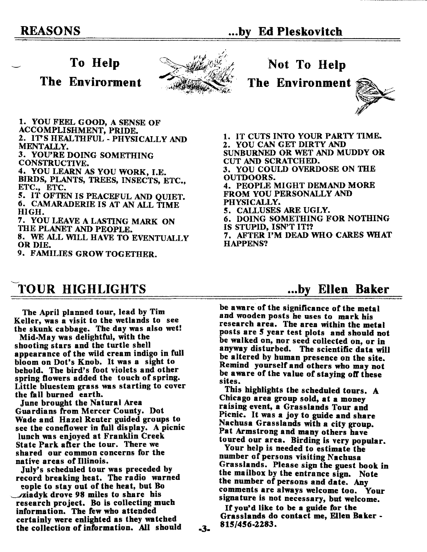### To Help

The Envirorment





The Environment



1. YOU FEEL GOOD, A SENSE OF ACCOMPLISHMENT, PRIDE. 2. IT'S HEALTHFUL - PHYSICALLY AND MENTALLY.

3. YOU'RE DOING SOMETHING CONSTRUCTIVE.

4. YOU LEARN AS YOU WORK, I.E. BIRDS, PLANTS, TREES, INSECTS, ETC.,

ETC., ETC. 5. IT OFTEN IS PEACEFUL AND QUIET.

6. CAMARADERIEIS AT AN ALL TIME HIGH.

7. YOU LEAVEA LASTING MARK ON THE PLANET AND PEOPLE.

8. WE ALL WILL HAVE TO EVENTUALLY OR DIE.

9. FAMILIES GROW TOGETHER.

# TOUR HIGHLIGHTS

The April planned tour, lead by Tim Keller, was a visit to the wetlands to see the skunk cabbage. The day was also wet.

Mid-May was delightful, with the shooting stars and the turtle shell appearance of the wild cream indigo in full bloom on Dot's Knob. It was a sight to behold. The bird's foot violets and other spring flowers added the touch of spring. Little bluestem grass was starting to cover the fall burned earth.

June brought the Natural Area Guardians from Mercer County. Dot Wade and Hazel Reuter guided groups to see the coneflower in full display. A picnic lunch was enjoyed at Franklin Creek State Park after the tour. There we shared our common concerns for the native areas of Illinois.

July's scheduled tour was preceded by record breaking heat. The radio warned eople to stay out of the heat, but Bo riadyk drove 98 miles to share his research project. Do is collecting much information. The few who attended certainly were enlighted as they watched the collection of information. All should 3. 1. IT CUTS INTO YOUR PARTY TIME. 2. YOU CAN GET DIRTY AND SUNBURNED OR WET AND MUDDY OR CUT AND SCRATCHED. 3. YOU COULD OVERDOSE ON THE OUTDOORS. 4. PEOPLE MIGHT DEMAND MORE FROM YOU PERSONALLY AND PHYSICALLY. 5. CALLUSESARE UGLY. 6. DOING SOMETHING FOR NOTHING IS STUPID, ISN'T IT!? 7. AFTER I'M DEADWHO CARESWHAT

HAPPENS?

### ...by Ellen Baker

be aware of the significance of the metal and wooden posts he uses to mark his research area. The area within the metal posts are 5 year test plots and should not be walked on, nor seed collected on, or in anyway disturbed. The scientific data will be altered by human presence on the site. Remind yourself and otbers who may not be aware of the value of staying off these sites.

This highlights the scheduled tours. A Chicago area group sold, at a money raising event, a Grasslands Tour and Picnic. It was a joy to guide and share Nachusa Grasslands with a city group. Pat Armstrong and many others have toured our area. Birding is very popular.

Your help is needed to estimate the number of persons visiting Nachus. Grasslands. Please sign the guest book in the mailbox by the entrance sign. Note the number of persons and date. Any comments are always welcome too. Your signa ture is not necessary, but welcome.

If you'd like to be a guide for the Grasslands do contact me, Ellen Baker - 815/456-2283.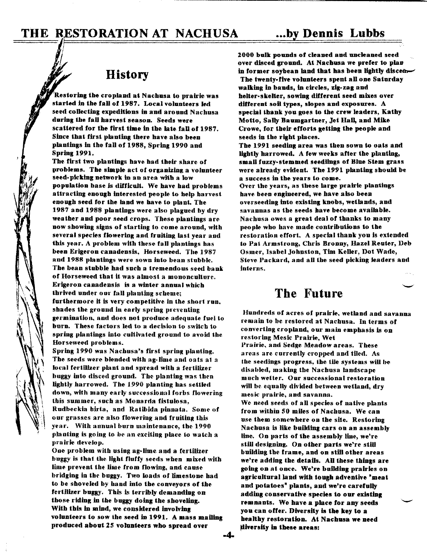# History

Restoring the cropland at Nachusa to prairie was started in the fall of 1987. Local volunteers led seed collecting expeditions in and around Nachusa during the fall harvest season. Seeds were scattered for the first time in the late fall of 1987. Since that first planting there have also been plantings in the fall of 1988, Spring 1990 and Spring 1991.

The first two plantings have had their share of problems. The simple act of organizing a volunteer seed- picking uetwork in an area witb a low popnlation base is difficult. We have had problems attracting enough interested people to help harvest enough seed for the land we have to plant. The 1987 and 1988 plantings were also plagued by dry weather and poor seed crops. These plantings are now showing signs of starting to come around, with several species flowering and fruiting last year and this year. A problem with these fall plantings has been Erigeron canadensis, Horseweed. The 1987 and 1988 plantings were sown into bean stnbble. The bean stubble had such a tremendous seed bank of Horseweed that it was almost a mononculture. Erigeron canadensis is a winter annual whicb thrived under our fall planting scheme; furthermore it is very competitive in the sbort run, shades the ground in early spring preventing germination, and does not prodnce adequate Iuel to burn. These factors led to a dedsion to switch to spring plantings into cultivated ground to avoid the Horseweed problems.

Spring 1990 was Nachusa's first spring planting. The seeds were blended with ag-lime and oats at a local fertilizer plant and spread with a fertilizer buggy into disced ground. The planting was then lightly harrowed. The 1990 planting has settled down, with many early successional forbs flowering this summer, such as Monarda fistulosa. Rudbeckia birta, and Ratibida pinnata. Some of our grasses are also flowering and fruiting this year. Witb annual burn maintenance, tbe 1990 planting is going to be an exciting place to watch a pra irie develop,

One problem with using ag-lime and a fertilizer buggy is that the light fluffy seeds when mixed with lime prevent the lime from flowing, and cause bridging in the buggy. Two loads of limestone had to be shoveled by hand into the conveyors of the fertilizer buggy. This is terribly demanding on those riding in the buggy doing the shoveling. With this in mind, we considered Involving volunteers to sow the seed in 1991. A mass mailing produced about 25 volunteers who spread over

1000 bulk pounds of cleaned and uncleaned seed over disced ground. At Nachusa we prefer to plan in former soybean land that has been lightly discen-The twenty-five volunteers spent aU one Saturday walking in bands, in circles, zig-zag and helter-skelter, sowing different seed mixes over different soil types, slopes and exposures. A special thank you goes to the crew leaders, Kathy Motto, Sally Baumgartner, Jet Hall, and Mike Crowe, for their efforts getting the people and seeds in the right places.

Tbe 1991 seeding area was then sown to oats and lightly harrowed. A few weeks after the planting, small fuzzy-stemmed seedlings of Blue Stem grass were already evidenL The 1991 planting sbould be a success in the years to come. Over tbe years, as these large prairie plantiugs

have been engineered, we have also been overseeding into existing knobs, wetlands, and savannas as tbe seeds have become available. Nachusa owes a great deal of thanks to many people who bave made contributions to the restoration effort. A spedal thank you is extended to Pat Armstrong, Chris Bronny, Hazel Reuter, Deb Osmer, Isabel Johnston, Tim KeDer, Dot Wade, Steve Packard, and all the seed picking leaders aud fnterus.

# The Future

Hundreds of acres of prairie, wetland and savanna remain to be restored at Nachusa. In terms of converting cropland, our main empbasis is on restoring Mesic Prairie, Wet Prairie. and Sedge Meadow areas. These areas are currently cropped and tiled. As the seedings progress, the tile systems will be disabled, making the Nachusa landscape much wetter. Onr successioual restoration will be equally divided between wetland, dry mesic prairie, and savanna.

We need seeds of all species of native plants from within 50 miles of Nachusa. We can use them somewhere on the site. Restoring Nachusa is like building cars on an assembly line. On parts of the assembly line, we're still designing. On other parts we're still building the frame, and on still other areas we're adding the details. All these things are going on at once. We're building prairies on agricultural land with tough adventive "meat and potatoes" plants, and we're carefully adding conservative species to our existing remnants. We have a place for any seeds you can offer. Diversity is the key to a healthy restoration. At Nacbusa we need diversity in these areas: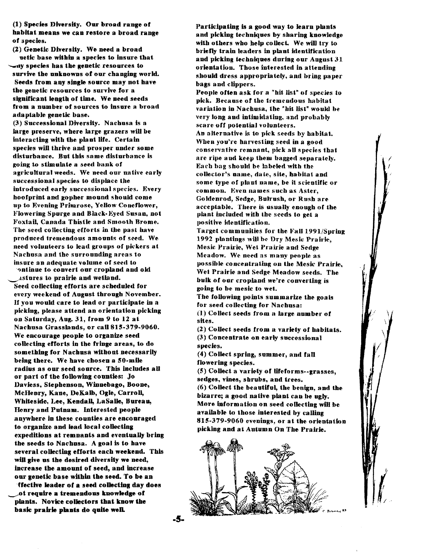(1) Species Diversity. Our broad range of habitat means we can restore a broad range of apeciea.

(2) Genetic Diversity. We need a broad uatic base within a species to insure that '-1Iy species has the genetic resources to survive the unknowns of our changing world. Seeds from any single source may not have the genetic resources to survive for a significant length of time. We need seeds from a number of sources to insure a broad adaptable genetic base.

(3) Successional Diversity. Nachusa is a large preserve. where large grazers will be interacting with the plant life. Certain species will thrive and prosper under some disturbance. But this same disturbance is going to stimulate a seed bank of agricultural weeds. We need our native early successional species to displace the introduced early successional species. Every boofprint and gopber mound sbould come up to Evening Prharose, Yellow Coneflower, Flowering Spurge and Black-Eyed Susan, not .Foxtaf], Canada Thistle and Smooth Brome. The seed collecting efforts in the past have produced tremendous amounts of seed. We need volunteers to lead groups of pickers at Nachusa and the surrounding areas to insure an adequate volume of seed to ontinue to convert our cropland and old

~Jlstures to prairie and wetland. Seed collecting efforts are schednled for every weekend of August through November. If you would care to lead or participate in a picking, please attend an orientation picking on Saturday, Aug. 31, from 9 to 12 at Nachusa Grasslands, or call 815·379·9060. We encourage people to organize seed collecting efforts in the fringe areas, to do something for Nachusa without necessarily being there. We have chosen a 50-mile radius as our seed source. This includes all or part of the following counties: Jo Davjess, Stephenson, Winnebago, Boone, McHenry, Kane, DeKalb, Ogle, Carroll, Whiteside, Lee, Kendall, LaSalle, Bureau, Henry and Putnam. Interested people anywhere in tbese counties are encouraged to organize and lead local collecting expeditions at remnants and eventually bring the seeds to Naehusa. A goal is to have several collecting efforts each weekend. This will give us the desired diversity we need, increase the amount of seed, and increase our genetic base within the seed. To be an

ffedive leader of a seed colleding day does ot require a tremendous knowledge of plants. Noviee eolleetors that know the basic prairie plants do quite well

Partkipating is a good way to learn plants and picking techniques by sharing knowledge with others who help collect. We will try to briefly train leaders in plant identification and picking techniques during our August  $31$ orientation. Those interested in attending should dress appropriately. and bring paper bags and clippers.

People often ask for a "hit list" of species to pick. Because of the tremendous habitat variation in Nachusa, the "hit list" would be very long and intimidating, and probably scare off potential volunteers.

An alternative is to pick seeds by babitat. When you're harvesting seed in a good conservative remnant, oick all species that are ripe and keep them bagged separately. Each bag should be Iabeled with the collector's name, date, site, habitat and some type of plant name, be it scientific or common. Even names such as Aster, Goldenrod, Sedge, Bulrush, or Rush are acceptable. There is usually enough of the plant included with the seeds to get a positive identification.

Target communities for the Fall 1991/Spriog 1992 plantmgs will be Dry Mesic Prairie, Mesic Prairie, Wet Prairie and Sedge Meadow. We need as many people as possible concentrating on the Mesic Prairie. Wet Prairie and Sedge Meadow seeds. The bulk of our cropland we're converting is going to be mesic to wet.

The following points summarize the goals for seed collecting for Nacbusa:  $(1)$  Collect seeds from a large number of

sites.

(2) Collect seeds from a variety of habitats. (3) Concentrate on early successional species.

(4) Collect spring, summer, and fall flowering species.

(5) Collect a variety of lifeforms--grasses, sedges, vines, shrubs, and trees.

(6) Collect the beautiful, the beuign, and the bizarre; a good native plant can be ugly. More information on seed colleding will be available to those interested by calling 815-379-9060 evenings, or at the orientation picking and at Autumn On The Prairie.

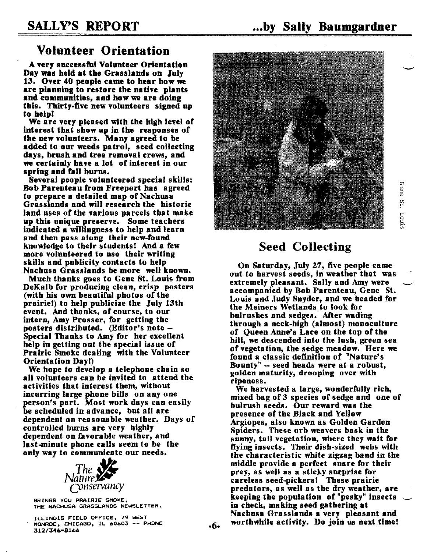$\Omega$ y<br>T U1 r+

c<br>Eug

## Volunteer Orientation

A very successful Volunteer Orientation Day was held at the Grasslands on July 13. Over 40 people came to hear how we are planning to restore the native plants and communities, and how we are doing this. Thirty-five new volunteers signed up to help!

We are very pleased with the high level of interest that show up in the responses of the new volunteers. Many agreed to be added to our weeds patrol, seed collecting days, brush and tree removal crews, and we certainly have a lot of interest in our spring and fall burns.

Several people volunteered special skills: Bob Parenteau from Freeport has agreed to prepare a detailed map of Nachusa Grasslands and will research the historic land uses of the various parcels that make up this unique preserve. Some teachers indicated a willingness to help and learn and then pass along their new-found knowledge to their students! And a few more volunteered to use their writing skills and publicity contacts to help Nachusa Grasslands be more well known.

Much thanks goes to Gene St. Louis from DeKalb for producing clean, crisp posters (with his own beautiful photos of the prairie!) to help publicize the July 13th event. And thanks, of course, to our intern, Amy Prosser, for getting the posters distributed. (Editor's note -- Special Thanks to Amy for her excellent help in getting out the special issue of Prairie Smoke dealing with the Volunteer Orientation Day!)

We hope to develop a telephone chain so all volunteers can be invited to attend the activities that interest them, without incurring large phone bills on anyone. person's part. Most work days can easIly be scheduled in advance, but all are dependent on reasonable weather. Days of controlled burns are very highly dependent on favorable weather, and last-minute phone calls seem to be the only way to communicate our needs.



BRINGS YOU PRAIRIE SMOKE, THE NACHUSA GRASSLANDS NEWSLETTER.

ILLINOIS FIELD OFFICE, 79 WEST MONROE. CHICAGO. IL 60603 -- PHONE *312/346-8166*



# Seed Collecting

On Saturday, July 27, five people came out to harvest seeds, in weather that was extremely pleasant. Sally and Amy were accompanied by Bob Parenteau, Gene St. Louis and Judy Snyder, and we headed for the Meiners Wetlands to look for bulrushes and sedges. After wading through a neck-high (almost) monoculture of Queen Anne's Lace on the top of the hill, we descended into the lush, green sea of vegetation, the sedge meadow. Here we found a classic definition of "Nature's Bounty" -- seed heads were at a robust, golden maturity, drooping over with ripeness.

We harvested a large, wonderfully rich, mixed bag of 3 species of sedge and one of bulrush seeds. Our reward was the presence of the Black and Yellow Argiopes, also known as Golden Garden Spiders. These orb weavers bask in the sunny, tall vegetation, where they wait for flying insects. Their dish-sized webs with the characteristic white zigzag band in the middle provide a perfect snare for their prey, as well as a sticky surprise for careless seed-pickers! These prairie predators, as well as the dry weather, are keeping the population of "pesky" insects  $\sim$ in check, making seed gathering at Nachusa Grasslands a very pleasant and worthwhile activity. Do join us next time!

.6.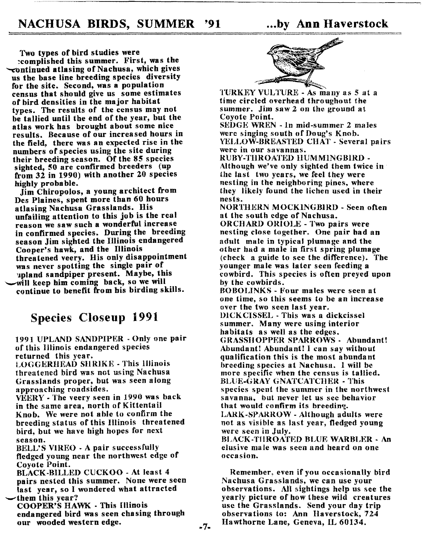Two types of bird studies were

reomphshed this summer. First, was the  $\sqrt{\tau}$ ontinued atlasing of Nachusa, which gives us the base line breeding species diversity for the site. Second, was a population census that should give us some estimates of bird densities in the major habitat types. The results of the census may not be tallied until the end of the year, but the atlas work has brought about some nice results. Because of our increased hours in the field, there was an expected rise in the numbers of species using the site during their breeding season. Of the 85 species sighted, 50 are confirmed breeders (up from 32 in 1990) with another 20 species highly probable.

Jim Chiropolos, a young architect from Des Plaines, spent more than 60 hours aUasing Nachusa Grasslands. His unfailing attention to this job is the real reason we saw such a wonderful increase in confirmed species. During the breeding season Jim sighted the Illinois endangered Cooper's hawk, and the Illinois threatened veery. His only disappointment was never spotting the single pair of upland sandpiper present. Maybe, this '-'Will keep him coming back, so we will continue to benefit from his birding skills.

# Species Closeup 1991

1991 UPLAND SANDPIPER - Only one pair of this IJlinois endangered species returned this year.

LOGGERHEAD SHRIKE - This Illinois threatened bird was not using Nachusa Grasslands proper, but was seen along approaching roadsides.

VEERY - The veery seen in 1990 was back in the same area, north of Kittenta il Knob. We were not able to confirm the breeding status of this Illinois threatened bird, but we ha ve high hopes for next season.

BELL'S VIREO - A pair successfully fledged young near the northwest edge of Coyote Point.

BLACK-BILLED CUCKOO - At least 4 pairs nested this summer. None were seen fast year, so I wondered what attracted them this year?

COOPER'S HAWK - This Illinois endangered bird was seen chasing through our wooded western edge.



TURKEY VIJLTURE - As many as 5 at a time circled overhead throughout the summer. Jim saw 2 on the ground at Coyote Point.

 $SEDGE$  WREN  $-$  In mid-summer 2 males were singing south of Doug's Knob. YELLOW-BREASTED CHAT - Several pairs were in our savannas,

RUBY-THROATED HUMMINGBIRD-Although we've only sighted them twice in . the last two years, we feel they were nesting in the neighboring pines, where they likely found the lichen used in their nests.

NORTHERN MOCKINGBIRD - Seen often at the south edge of Nachusa.

ORCHARD ORIOLE - Two pairs were nesting close together. One pair had an adult male in typical plumage and the other bad a male in first spring plumage (check a guide to see the difference). The younger male was later seen feeding a cowbird. This species is often preyed upon by the cowbirds.

BOBOLINKS - Four males were seen at one time, so this seems to be an increase over the two seen last year.

DICKCISSEL - This was a dickcissel summer. Many were using interior habitats as well as the edges. GRASSHOPPER SPARROWS - Abundant! Abundant! Abundant! I can say without qualification this is the most abundant breeding species at Nachusa. I will be more specific when the census is tallied.

BLUE-GRAY GNATCATCHER - This species spent the summer in the northwest savanna. but never let us see behavior that would confirm its breeding.

LARK-SPARROW - Although adults were not as visible as last year, fledged young were seen in July.

BLACK·THROATED BLUE WARBLER - An elusive male was seen and heard on one occasion.

Remember. even if you occasionally bird Nachusa Grasslands, we can use your observations. AH sightings help us see the yearly picture of how these wild creatures use the Grasslands. Send your day trip observations to: Ann Haverstock, 724 Hawthorne Lane, Geneva, IL 60134.